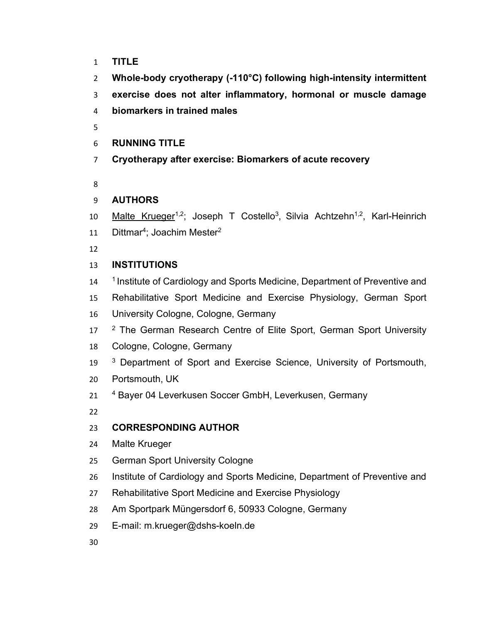- **TITLE**
- **Whole-body cryotherapy (-110°C) following high-intensity intermittent**
- **exercise does not alter inflammatory, hormonal or muscle damage**
- **biomarkers in trained males**
- 
- **RUNNING TITLE**
- **Cryotherapy after exercise: Biomarkers of acute recovery**
- 

# **AUTHORS**

- 10 Malte Krueger<sup>1,2</sup>; Joseph T Costello<sup>3</sup>, Silvia Achtzehn<sup>1,2</sup>, Karl-Heinrich
- 11 Dittmar<sup>4</sup>; Joachim Mester<sup>2</sup>
- 

# **INSTITUTIONS**

- 14 <sup>1</sup> Institute of Cardiology and Sports Medicine, Department of Preventive and
- Rehabilitative Sport Medicine and Exercise Physiology, German Sport
- University Cologne, Cologne, Germany
- 17 <sup>2</sup> The German Research Centre of Elite Sport, German Sport University
- Cologne, Cologne, Germany
- 19 <sup>3</sup> Department of Sport and Exercise Science, University of Portsmouth,
- Portsmouth, UK
- 21 <sup>4</sup> Bayer 04 Leverkusen Soccer GmbH, Leverkusen, Germany
- 

# **CORRESPONDING AUTHOR**

- Malte Krueger
- German Sport University Cologne
- Institute of Cardiology and Sports Medicine, Department of Preventive and
- Rehabilitative Sport Medicine and Exercise Physiology
- Am Sportpark Müngersdorf 6, 50933 Cologne, Germany
- E-mail: m.krueger@dshs-koeln.de
-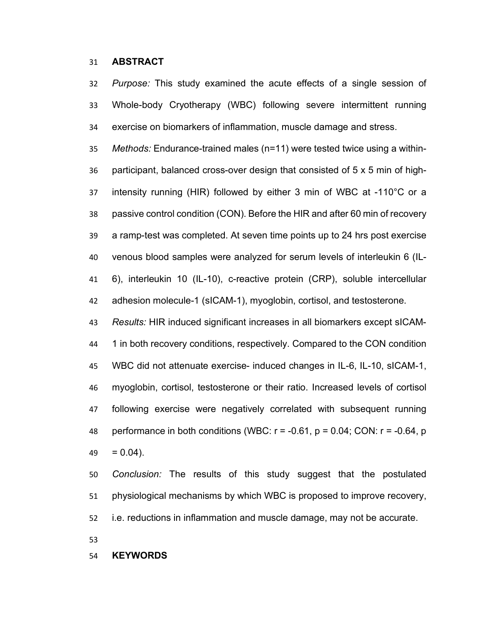### **ABSTRACT**

 *Purpose:* This study examined the acute effects of a single session of Whole-body Cryotherapy (WBC) following severe intermittent running exercise on biomarkers of inflammation, muscle damage and stress.

 *Methods:* Endurance-trained males (n=11) were tested twice using a within- participant, balanced cross-over design that consisted of 5 x 5 min of high- intensity running (HIR) followed by either 3 min of WBC at -110°C or a passive control condition (CON). Before the HIR and after 60 min of recovery a ramp-test was completed. At seven time points up to 24 hrs post exercise venous blood samples were analyzed for serum levels of interleukin 6 (IL- 6), interleukin 10 (IL-10), c-reactive protein (CRP), soluble intercellular adhesion molecule-1 (sICAM-1), myoglobin, cortisol, and testosterone.

 *Results:* HIR induced significant increases in all biomarkers except sICAM- 1 in both recovery conditions, respectively. Compared to the CON condition WBC did not attenuate exercise- induced changes in IL-6, IL-10, sICAM-1, myoglobin, cortisol, testosterone or their ratio. Increased levels of cortisol following exercise were negatively correlated with subsequent running 48 performance in both conditions (WBC:  $r = -0.61$ ,  $p = 0.04$ ; CON:  $r = -0.64$ , p  $49 = 0.04$ ).

 *Conclusion:* The results of this study suggest that the postulated physiological mechanisms by which WBC is proposed to improve recovery,

i.e. reductions in inflammation and muscle damage, may not be accurate.

#### **KEYWORDS**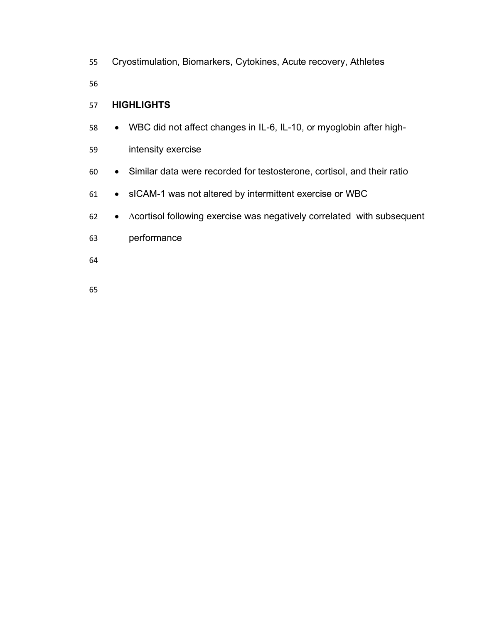Cryostimulation, Biomarkers, Cytokines, Acute recovery, Athletes 

**HIGHLIGHTS**

• WBC did not affect changes in IL-6, IL-10, or myoglobin after high-

intensity exercise

- Similar data were recorded for testosterone, cortisol, and their ratio
- sICAM-1 was not altered by intermittent exercise or WBC
- ∆cortisol following exercise was negatively correlated with subsequent
- performance
- 
-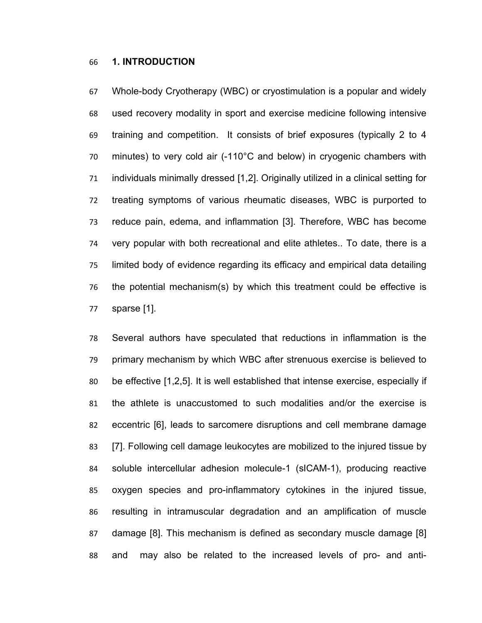### **1. INTRODUCTION**

 Whole-body Cryotherapy (WBC) or cryostimulation is a popular and widely used recovery modality in sport and exercise medicine following intensive training and competition. It consists of brief exposures (typically 2 to 4 minutes) to very cold air (-110°C and below) in cryogenic chambers with individuals minimally dressed [1,2]. Originally utilized in a clinical setting for treating symptoms of various rheumatic diseases, WBC is purported to reduce pain, edema, and inflammation [3]. Therefore, WBC has become very popular with both recreational and elite athletes.. To date, there is a limited body of evidence regarding its efficacy and empirical data detailing the potential mechanism(s) by which this treatment could be effective is sparse [1].

 Several authors have speculated that reductions in inflammation is the primary mechanism by which WBC after strenuous exercise is believed to be effective [1,2,5]. It is well established that intense exercise, especially if the athlete is unaccustomed to such modalities and/or the exercise is eccentric [6], leads to sarcomere disruptions and cell membrane damage [7]. Following cell damage leukocytes are mobilized to the injured tissue by soluble intercellular adhesion molecule-1 (sICAM-1), producing reactive oxygen species and pro-inflammatory cytokines in the injured tissue, resulting in intramuscular degradation and an amplification of muscle damage [8]. This mechanism is defined as secondary muscle damage [8] and may also be related to the increased levels of pro- and anti-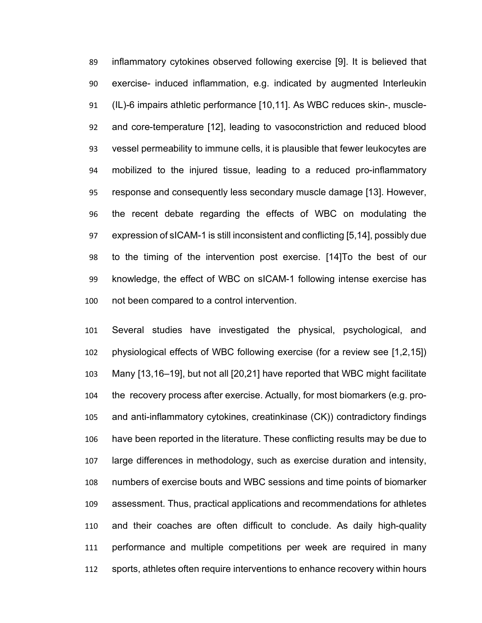inflammatory cytokines observed following exercise [9]. It is believed that exercise- induced inflammation, e.g. indicated by augmented Interleukin (IL)-6 impairs athletic performance [10,11]. As WBC reduces skin-, muscle- and core-temperature [12], leading to vasoconstriction and reduced blood vessel permeability to immune cells, it is plausible that fewer leukocytes are mobilized to the injured tissue, leading to a reduced pro-inflammatory response and consequently less secondary muscle damage [13]. However, the recent debate regarding the effects of WBC on modulating the expression of sICAM-1 is still inconsistent and conflicting [5,14], possibly due to the timing of the intervention post exercise. [14]To the best of our knowledge, the effect of WBC on sICAM-1 following intense exercise has not been compared to a control intervention.

 Several studies have investigated the physical, psychological, and physiological effects of WBC following exercise (for a review see [1,2,15]) Many [13,16–19], but not all [20,21] have reported that WBC might facilitate the recovery process after exercise. Actually, for most biomarkers (e.g. pro- and anti-inflammatory cytokines, creatinkinase (CK)) contradictory findings have been reported in the literature. These conflicting results may be due to large differences in methodology, such as exercise duration and intensity, numbers of exercise bouts and WBC sessions and time points of biomarker assessment. Thus, practical applications and recommendations for athletes and their coaches are often difficult to conclude. As daily high-quality performance and multiple competitions per week are required in many sports, athletes often require interventions to enhance recovery within hours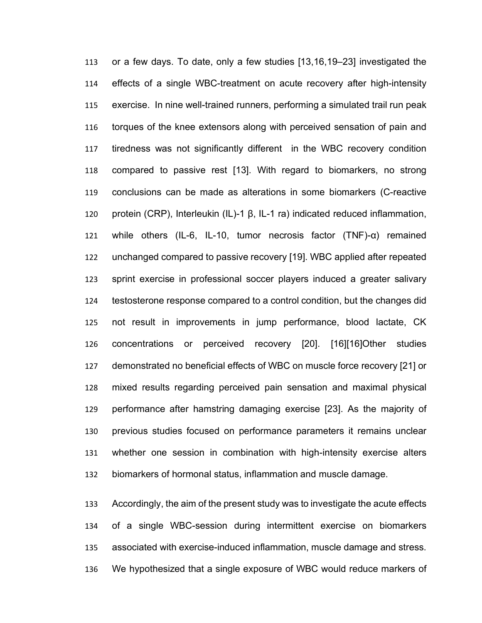or a few days. To date, only a few studies [13,16,19–23] investigated the effects of a single WBC-treatment on acute recovery after high-intensity exercise. In nine well-trained runners, performing a simulated trail run peak torques of the knee extensors along with perceived sensation of pain and tiredness was not significantly different in the WBC recovery condition compared to passive rest [13]. With regard to biomarkers, no strong conclusions can be made as alterations in some biomarkers (C-reactive protein (CRP), Interleukin (IL)-1 β, IL-1 ra) indicated reduced inflammation, while others (IL-6, IL-10, tumor necrosis factor (TNF)-α) remained unchanged compared to passive recovery [19]. WBC applied after repeated sprint exercise in professional soccer players induced a greater salivary testosterone response compared to a control condition, but the changes did not result in improvements in jump performance, blood lactate, CK concentrations or perceived recovery [20]. [16][16]Other studies demonstrated no beneficial effects of WBC on muscle force recovery [21] or mixed results regarding perceived pain sensation and maximal physical performance after hamstring damaging exercise [23]. As the majority of previous studies focused on performance parameters it remains unclear whether one session in combination with high-intensity exercise alters biomarkers of hormonal status, inflammation and muscle damage.

 Accordingly, the aim of the present study was to investigate the acute effects of a single WBC-session during intermittent exercise on biomarkers associated with exercise-induced inflammation, muscle damage and stress. We hypothesized that a single exposure of WBC would reduce markers of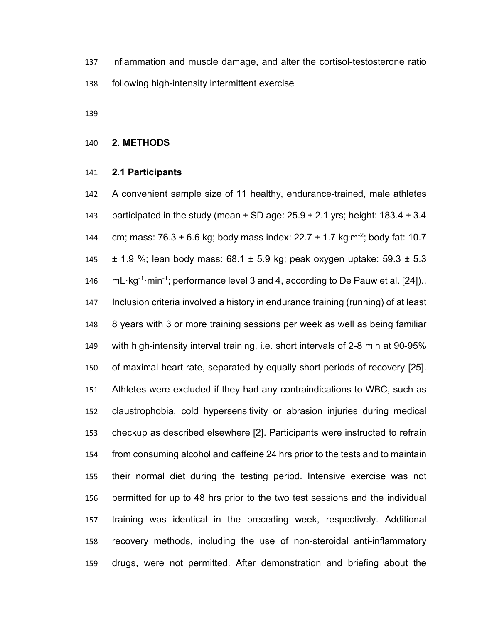inflammation and muscle damage, and alter the cortisol-testosterone ratio following high-intensity intermittent exercise

## **2. METHODS**

#### **2.1 Participants**

 A convenient sample size of 11 healthy, endurance-trained, male athletes 143 participated in the study (mean  $\pm$  SD age:  $25.9 \pm 2.1$  yrs; height: 183.4  $\pm$  3.4 144 cm; mass:  $76.3 \pm 6.6$  kg; body mass index:  $22.7 \pm 1.7$  kg m<sup>-2</sup>; body fat: 10.7  $\pm$  1.9 %; lean body mass: 68.1  $\pm$  5.9 kg; peak oxygen uptake: 59.3  $\pm$  5.3 146 mL·kg<sup>-1</sup>·min<sup>-1</sup>; performance level 3 and 4, according to De Pauw et al. [24]).. Inclusion criteria involved a history in endurance training (running) of at least 8 years with 3 or more training sessions per week as well as being familiar with high-intensity interval training, i.e. short intervals of 2-8 min at 90-95% of maximal heart rate, separated by equally short periods of recovery [25]. Athletes were excluded if they had any contraindications to WBC, such as claustrophobia, cold hypersensitivity or abrasion injuries during medical checkup as described elsewhere [2]. Participants were instructed to refrain from consuming alcohol and caffeine 24 hrs prior to the tests and to maintain their normal diet during the testing period. Intensive exercise was not permitted for up to 48 hrs prior to the two test sessions and the individual training was identical in the preceding week, respectively. Additional recovery methods, including the use of non-steroidal anti-inflammatory drugs, were not permitted. After demonstration and briefing about the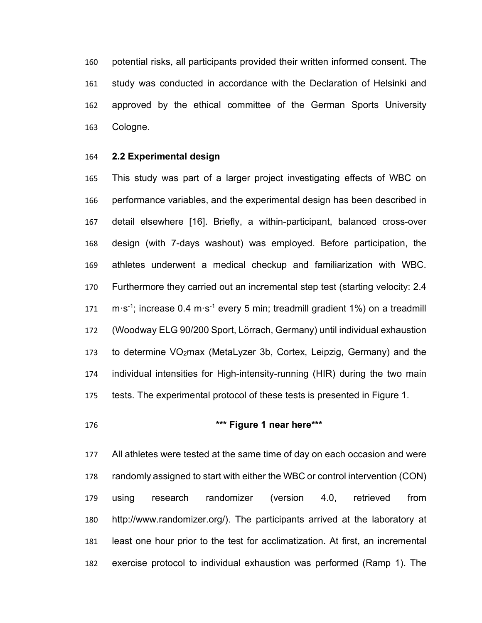potential risks, all participants provided their written informed consent. The study was conducted in accordance with the Declaration of Helsinki and approved by the ethical committee of the German Sports University Cologne.

#### **2.2 Experimental design**

 This study was part of a larger project investigating effects of WBC on performance variables, and the experimental design has been described in detail elsewhere [16]. Briefly, a within-participant, balanced cross-over design (with 7-days washout) was employed. Before participation, the athletes underwent a medical checkup and familiarization with WBC. Furthermore they carried out an incremental step test (starting velocity: 2.4 171 m·s<sup>-1</sup>; increase 0.4 m·s<sup>-1</sup> every 5 min; treadmill gradient 1%) on a treadmill (Woodway ELG 90/200 Sport, Lörrach, Germany) until individual exhaustion to determine VO2max (MetaLyzer 3b, Cortex, Leipzig, Germany) and the individual intensities for High-intensity-running (HIR) during the two main tests. The experimental protocol of these tests is presented in Figure 1.

# **\*\*\* Figure 1 near here\*\*\***

 All athletes were tested at the same time of day on each occasion and were randomly assigned to start with either the WBC or control intervention (CON) using research randomizer (version 4.0, retrieved from http://www.randomizer.org/). The participants arrived at the laboratory at least one hour prior to the test for acclimatization. At first, an incremental exercise protocol to individual exhaustion was performed (Ramp 1). The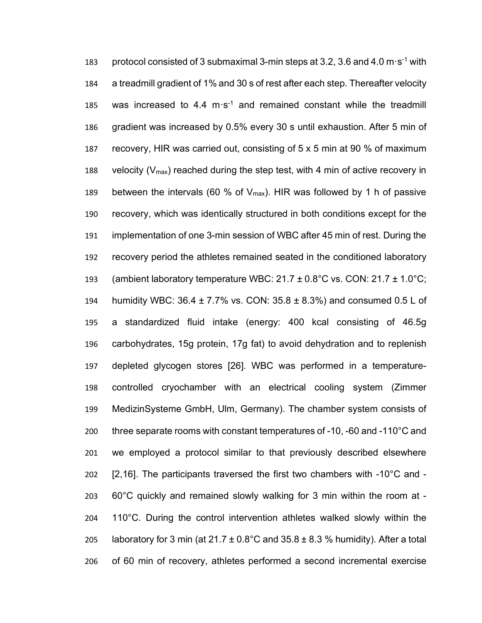183 protocol consisted of 3 submaximal 3-min steps at 3.2, 3.6 and 4.0 m $\cdot$ s<sup>-1</sup> with a treadmill gradient of 1% and 30 s of rest after each step. Thereafter velocity 185 was increased to 4.4 m $\cdot$ s<sup>-1</sup> and remained constant while the treadmill gradient was increased by 0.5% every 30 s until exhaustion. After 5 min of recovery, HIR was carried out, consisting of 5 x 5 min at 90 % of maximum 188 velocity ( $V_{\text{max}}$ ) reached during the step test, with 4 min of active recovery in 189 between the intervals (60 % of  $V_{\text{max}}$ ). HIR was followed by 1 h of passive recovery, which was identically structured in both conditions except for the implementation of one 3-min session of WBC after 45 min of rest. During the recovery period the athletes remained seated in the conditioned laboratory 193 (ambient laboratory temperature WBC:  $21.7 \pm 0.8$ °C vs. CON:  $21.7 \pm 1.0$ °C; humidity WBC: 36.4 ± 7.7% vs. CON: 35.8 ± 8.3%) and consumed 0.5 L of a standardized fluid intake (energy: 400 kcal consisting of 46.5g carbohydrates, 15g protein, 17g fat) to avoid dehydration and to replenish depleted glycogen stores [26]. WBC was performed in a temperature- controlled cryochamber with an electrical cooling system (Zimmer MedizinSysteme GmbH, Ulm, Germany). The chamber system consists of three separate rooms with constant temperatures of -10, -60 and -110°C and we employed a protocol similar to that previously described elsewhere 202 [2,16]. The participants traversed the first two chambers with  $-10^{\circ}$ C and  $-$  60°C quickly and remained slowly walking for 3 min within the room at - 110°C. During the control intervention athletes walked slowly within the 205 laboratory for 3 min (at  $21.7 \pm 0.8^{\circ}$ C and  $35.8 \pm 8.3$  % humidity). After a total of 60 min of recovery, athletes performed a second incremental exercise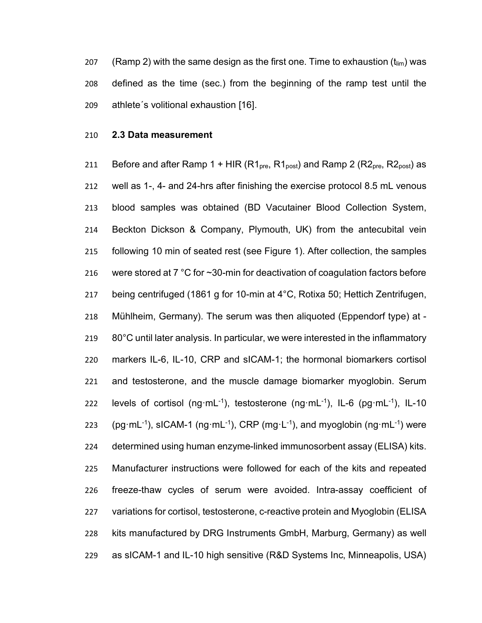207 (Ramp 2) with the same design as the first one. Time to exhaustion  $(t_{lim})$  was defined as the time (sec.) from the beginning of the ramp test until the athlete´s volitional exhaustion [16].

#### **2.3 Data measurement**

211 Before and after Ramp 1 + HIR  $(R1_{pre}, R1_{post})$  and Ramp 2  $(R2_{pre}, R2_{post})$  as well as 1-, 4- and 24-hrs after finishing the exercise protocol 8.5 mL venous blood samples was obtained (BD Vacutainer Blood Collection System, Beckton Dickson & Company, Plymouth, UK) from the antecubital vein following 10 min of seated rest (see Figure 1). After collection, the samples 216 were stored at 7 °C for ~30-min for deactivation of coagulation factors before being centrifuged (1861 g for 10-min at 4°C, Rotixa 50; Hettich Zentrifugen, Mühlheim, Germany). The serum was then aliquoted (Eppendorf type) at - 80°C until later analysis. In particular, we were interested in the inflammatory markers IL-6, IL-10, CRP and sICAM-1; the hormonal biomarkers cortisol and testosterone, and the muscle damage biomarker myoglobin. Serum 222 levels of cortisol (ng·mL<sup>-1</sup>), testosterone (ng·mL<sup>-1</sup>), IL-6 (pg·mL<sup>-1</sup>), IL-10 223 (pg·mL<sup>-1</sup>), sICAM-1 (ng·mL<sup>-1</sup>), CRP (mg·L<sup>-1</sup>), and myoglobin (ng·mL<sup>-1</sup>) were determined using human enzyme-linked immunosorbent assay (ELISA) kits. Manufacturer instructions were followed for each of the kits and repeated freeze-thaw cycles of serum were avoided. Intra-assay coefficient of variations for cortisol, testosterone, c-reactive protein and Myoglobin (ELISA kits manufactured by DRG Instruments GmbH, Marburg, Germany) as well as sICAM-1 and IL-10 high sensitive (R&D Systems Inc, Minneapolis, USA)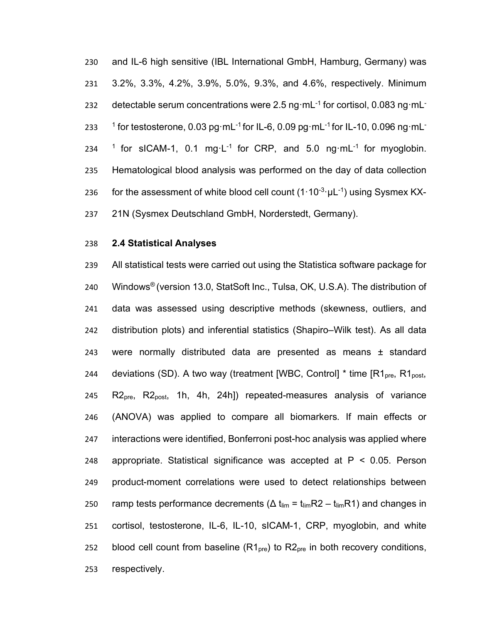and IL-6 high sensitive (IBL International GmbH, Hamburg, Germany) was 3.2%, 3.3%, 4.2%, 3.9%, 5.0%, 9.3%, and 4.6%, respectively. Minimum 232 detectable serum concentrations were 2.5 ng·mL<sup>-1</sup> for cortisol, 0.083 ng·mL<sup>-</sup>  $-1$  for testosterone, 0.03 pg·mL<sup>-1</sup> for IL-6, 0.09 pg·mL<sup>-1</sup> for IL-10, 0.096 ng·mL<sup>-</sup> 234 <sup>1</sup> for sICAM-1, 0.1 mg·L<sup>-1</sup> for CRP, and 5.0 ng·mL<sup>-1</sup> for myoglobin. Hematological blood analysis was performed on the day of data collection 236 for the assessment of white blood cell count  $(1.10^{-3} \cdot \mu L^{-1})$  using Sysmex KX-21N (Sysmex Deutschland GmbH, Norderstedt, Germany).

#### **2.4 Statistical Analyses**

 All statistical tests were carried out using the Statistica software package for 240 Windows<sup>®</sup> (version 13.0, StatSoft Inc., Tulsa, OK, U.S.A). The distribution of data was assessed using descriptive methods (skewness, outliers, and distribution plots) and inferential statistics (Shapiro–Wilk test). As all data were normally distributed data are presented as means ± standard 244 deviations (SD). A two way (treatment [WBC, Control]  $*$  time  $\text{[R1}_{\text{pre}}, \text{R1}_{\text{post}},$  $R2<sub>pre</sub>$ ,  $R2<sub>post</sub>$ , 1h, 4h, 24h]) repeated-measures analysis of variance (ANOVA) was applied to compare all biomarkers. If main effects or interactions were identified, Bonferroni post-hoc analysis was applied where appropriate. Statistical significance was accepted at P < 0.05. Person product-moment correlations were used to detect relationships between 250 ramp tests performance decrements ( $\Delta t_{\text{lim}} = t_{\text{lim}}R2 - t_{\text{lim}}R1$ ) and changes in cortisol, testosterone, IL-6, IL-10, sICAM-1, CRP, myoglobin, and white 252 blood cell count from baseline  $(R1_{pre})$  to  $R2_{pre}$  in both recovery conditions, respectively.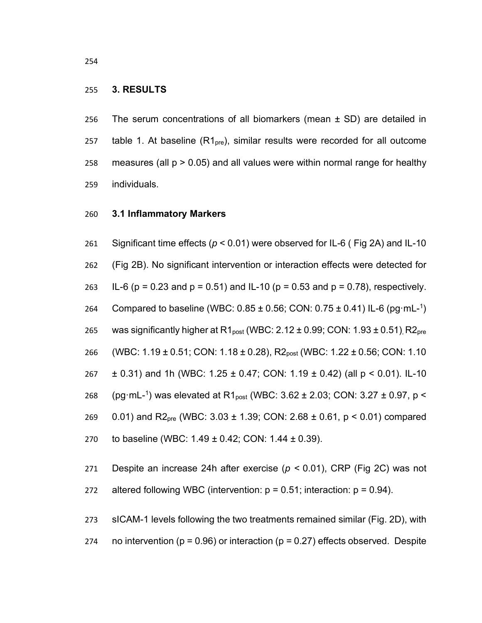#### 255 **3. RESULTS**

256 The serum concentrations of all biomarkers (mean ± SD) are detailed in 257 table 1. At baseline  $(R1<sub>pre</sub>)$ , similar results were recorded for all outcome 258 measures (all  $p > 0.05$ ) and all values were within normal range for healthy 259 individuals.

#### 260 **3.1 Inflammatory Markers**

261 Significant time effects (*p* < 0.01) were observed for IL-6 ( Fig 2A) and IL-10 262 (Fig 2B). No significant intervention or interaction effects were detected for 263 IL-6 (p = 0.23 and p = 0.51) and IL-10 (p = 0.53 and p = 0.78), respectively. 264 Compared to baseline (WBC:  $0.85 \pm 0.56$ ; CON:  $0.75 \pm 0.41$ ) IL-6 (pg·mL-<sup>1</sup>) 265 was significantly higher at  $R1_{post}$  (WBC: 2.12  $\pm$  0.99; CON: 1.93  $\pm$  0.51), R2<sub>pre</sub> 266 (WBC: 1.19 ± 0.51; CON: 1.18 ± 0.28), R2<sub>post</sub> (WBC: 1.22 ± 0.56; CON: 1.10 267 ± 0.31) and 1h (WBC: 1.25 ± 0.47; CON: 1.19 ± 0.42) (all p < 0.01). IL-10 268 (pg·mL-<sup>1</sup>) was elevated at R1<sub>post</sub> (WBC: 3.62  $\pm$  2.03; CON: 3.27  $\pm$  0.97, p < 269 0.01) and R2<sub>pre</sub> (WBC: 3.03  $\pm$  1.39; CON: 2.68  $\pm$  0.61, p < 0.01) compared 270 to baseline (WBC: 1.49 ± 0.42; CON: 1.44 ± 0.39).

271 Despite an increase 24h after exercise (*p <* 0.01), CRP (Fig 2C) was not

272 altered following WBC (intervention:  $p = 0.51$ ; interaction:  $p = 0.94$ ).

273 sICAM-1 levels following the two treatments remained similar (Fig. 2D), with 274 no intervention ( $p = 0.96$ ) or interaction ( $p = 0.27$ ) effects observed. Despite

254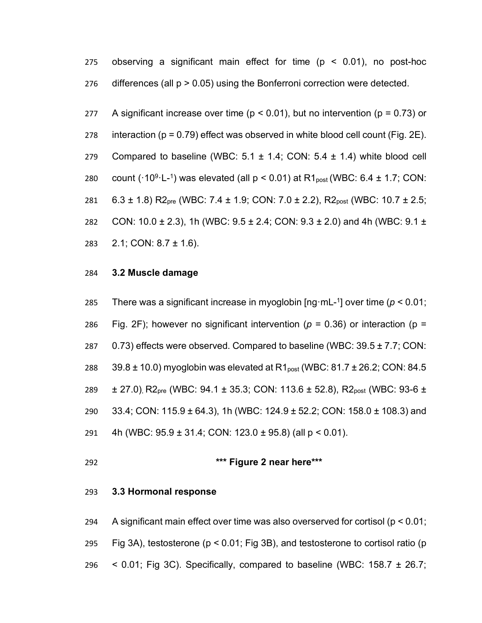275 observing a significant main effect for time (p < 0.01), no post-hoc 276 differences (all p > 0.05) using the Bonferroni correction were detected.

277 A significant increase over time ( $p < 0.01$ ), but no intervention ( $p = 0.73$ ) or 278 interaction ( $p = 0.79$ ) effect was observed in white blood cell count (Fig. 2E). 279 Compared to baseline (WBC:  $5.1 \pm 1.4$ ; CON:  $5.4 \pm 1.4$ ) white blood cell 280 count ( $\cdot$ 10<sup>9</sup> $\cdot$ L<sup>-1</sup>) was elevated (all p < 0.01) at R1<sub>post</sub> (WBC: 6.4  $\pm$  1.7; CON: 281 6.3 ± 1.8) R2<sub>pre</sub> (WBC: 7.4 ± 1.9; CON: 7.0 ± 2.2), R2<sub>post</sub> (WBC: 10.7 ± 2.5; 282 CON:  $10.0 \pm 2.3$ ), 1h (WBC:  $9.5 \pm 2.4$ ; CON:  $9.3 \pm 2.0$ ) and 4h (WBC:  $9.1 \pm 2.0$ 283 2.1; CON: 8.7 ± 1.6).

## 284 **3.2 Muscle damage**

285 There was a significant increase in myoglobin  $\lceil \log m L^{-1} \rceil$  over time ( $p < 0.01$ ; 286 Fig. 2F); however no significant intervention ( $p = 0.36$ ) or interaction ( $p = 0$ 287  $0.73$ ) effects were observed. Compared to baseline (WBC:  $39.5 \pm 7.7$ ; CON: 288  $39.8 \pm 10.0$ ) myoglobin was elevated at R1<sub>post</sub> (WBC: 81.7  $\pm$  26.2; CON: 84.5 289 ± 27.0), R2<sub>pre</sub> (WBC: 94.1 ± 35.3; CON: 113.6 ± 52.8), R2<sub>post</sub> (WBC: 93-6 ± 290 33.4; CON: 115.9 ± 64.3), 1h (WBC: 124.9 ± 52.2; CON: 158.0 ± 108.3) and 291 4h (WBC: 95.9 ± 31.4; CON: 123.0 ± 95.8) (all p < 0.01).

# 292 **\*\*\* Figure 2 near here\*\*\***

#### 293 **3.3 Hormonal response**

294 A significant main effect over time was also overserved for cortisol (p < 0.01; 295 Fig 3A), testosterone (p < 0.01; Fig 3B), and testosterone to cortisol ratio (p 296  $\leq$  0.01; Fig 3C). Specifically, compared to baseline (WBC: 158.7  $\pm$  26.7;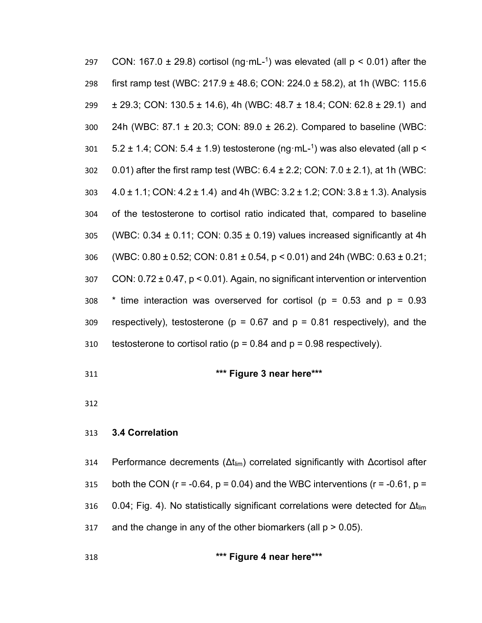| 297 | CON: 167.0 $\pm$ 29.8) cortisol (ng·mL- <sup>1</sup> ) was elevated (all $p < 0.01$ ) after the    |
|-----|----------------------------------------------------------------------------------------------------|
| 298 | first ramp test (WBC: 217.9 ± 48.6; CON: 224.0 ± 58.2), at 1h (WBC: 115.6                          |
| 299 | $\pm$ 29.3; CON: 130.5 $\pm$ 14.6), 4h (WBC: 48.7 $\pm$ 18.4; CON: 62.8 $\pm$ 29.1) and            |
| 300 | 24h (WBC: 87.1 ± 20.3; CON: 89.0 ± 26.2). Compared to baseline (WBC:                               |
| 301 | 5.2 $\pm$ 1.4; CON: 5.4 $\pm$ 1.9) testosterone (ng·mL- <sup>1</sup> ) was also elevated (all p <  |
| 302 | 0.01) after the first ramp test (WBC: $6.4 \pm 2.2$ ; CON: $7.0 \pm 2.1$ ), at 1h (WBC:            |
| 303 | $4.0 \pm 1.1$ ; CON: $4.2 \pm 1.4$ ) and $4h$ (WBC: $3.2 \pm 1.2$ ; CON: $3.8 \pm 1.3$ ). Analysis |
| 304 | of the testosterone to cortisol ratio indicated that, compared to baseline                         |
| 305 | (WBC: $0.34 \pm 0.11$ ; CON: $0.35 \pm 0.19$ ) values increased significantly at 4h                |
| 306 | (WBC: $0.80 \pm 0.52$ ; CON: $0.81 \pm 0.54$ , $p < 0.01$ ) and 24h (WBC: $0.63 \pm 0.21$ ;        |
| 307 | CON: $0.72 \pm 0.47$ , $p < 0.01$ ). Again, no significant intervention or intervention            |
| 308 | * time interaction was overserved for cortisol ( $p = 0.53$ and $p = 0.93$                         |
| 309 | respectively), testosterone ( $p = 0.67$ and $p = 0.81$ respectively), and the                     |
| 310 | testosterone to cortisol ratio ( $p = 0.84$ and $p = 0.98$ respectively).                          |

**\*\*\* Figure 3 near here\*\*\***

# **3.4 Correlation**

314 Performance decrements (Δt<sub>lim</sub>) correlated significantly with Δcortisol after 315 both the CON ( $r = -0.64$ ,  $p = 0.04$ ) and the WBC interventions ( $r = -0.61$ ,  $p =$ 316 0.04; Fig. 4). No statistically significant correlations were detected for Δt<sub>lim</sub> 317 and the change in any of the other biomarkers (all  $p > 0.05$ ).

**\*\*\* Figure 4 near here\*\*\***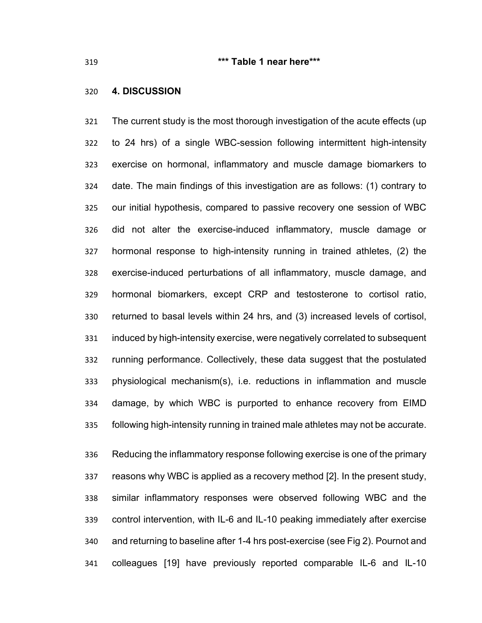### **\*\*\* Table 1 near here\*\*\***

## **4. DISCUSSION**

 The current study is the most thorough investigation of the acute effects (up to 24 hrs) of a single WBC-session following intermittent high-intensity exercise on hormonal, inflammatory and muscle damage biomarkers to date. The main findings of this investigation are as follows: (1) contrary to our initial hypothesis, compared to passive recovery one session of WBC did not alter the exercise-induced inflammatory, muscle damage or hormonal response to high-intensity running in trained athletes, (2) the exercise-induced perturbations of all inflammatory, muscle damage, and hormonal biomarkers, except CRP and testosterone to cortisol ratio, returned to basal levels within 24 hrs, and (3) increased levels of cortisol, induced by high-intensity exercise, were negatively correlated to subsequent running performance. Collectively, these data suggest that the postulated physiological mechanism(s), i.e. reductions in inflammation and muscle damage, by which WBC is purported to enhance recovery from EIMD following high-intensity running in trained male athletes may not be accurate.

 Reducing the inflammatory response following exercise is one of the primary reasons why WBC is applied as a recovery method [2]. In the present study, similar inflammatory responses were observed following WBC and the control intervention, with IL-6 and IL-10 peaking immediately after exercise and returning to baseline after 1-4 hrs post-exercise (see Fig 2). Pournot and colleagues [19] have previously reported comparable IL-6 and IL-10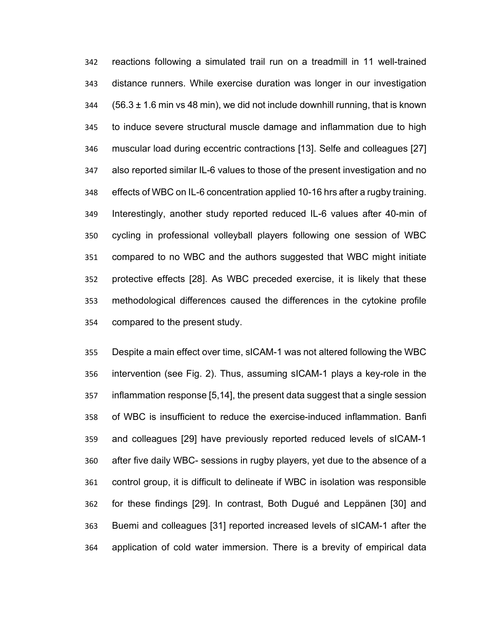reactions following a simulated trail run on a treadmill in 11 well-trained distance runners. While exercise duration was longer in our investigation (56.3  $\pm$  1.6 min vs 48 min), we did not include downhill running, that is known to induce severe structural muscle damage and inflammation due to high muscular load during eccentric contractions [13]. Selfe and colleagues [27] also reported similar IL-6 values to those of the present investigation and no effects of WBC on IL-6 concentration applied 10-16 hrs after a rugby training. Interestingly, another study reported reduced IL-6 values after 40-min of cycling in professional volleyball players following one session of WBC compared to no WBC and the authors suggested that WBC might initiate protective effects [28]. As WBC preceded exercise, it is likely that these methodological differences caused the differences in the cytokine profile compared to the present study.

 Despite a main effect over time, sICAM-1 was not altered following the WBC intervention (see Fig. 2). Thus, assuming sICAM-1 plays a key-role in the inflammation response [5,14], the present data suggest that a single session of WBC is insufficient to reduce the exercise-induced inflammation. Banfi and colleagues [29] have previously reported reduced levels of sICAM-1 after five daily WBC- sessions in rugby players, yet due to the absence of a control group, it is difficult to delineate if WBC in isolation was responsible for these findings [29]. In contrast, Both Dugué and Leppänen [30] and Buemi and colleagues [31] reported increased levels of sICAM-1 after the application of cold water immersion. There is a brevity of empirical data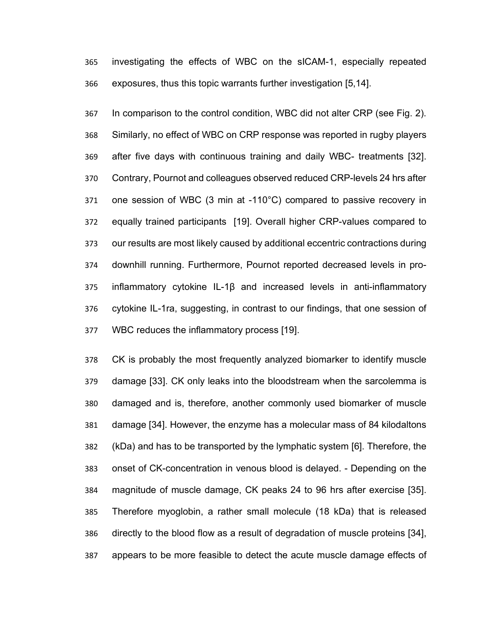investigating the effects of WBC on the sICAM-1, especially repeated exposures, thus this topic warrants further investigation [5,14].

 In comparison to the control condition, WBC did not alter CRP (see Fig. 2). Similarly, no effect of WBC on CRP response was reported in rugby players after five days with continuous training and daily WBC- treatments [32]. Contrary, Pournot and colleagues observed reduced CRP-levels 24 hrs after one session of WBC (3 min at -110°C) compared to passive recovery in equally trained participants [19]. Overall higher CRP-values compared to our results are most likely caused by additional eccentric contractions during downhill running. Furthermore, Pournot reported decreased levels in pro- inflammatory cytokine IL-1β and increased levels in anti-inflammatory cytokine IL-1ra, suggesting, in contrast to our findings, that one session of WBC reduces the inflammatory process [19].

 CK is probably the most frequently analyzed biomarker to identify muscle damage [33]. CK only leaks into the bloodstream when the sarcolemma is damaged and is, therefore, another commonly used biomarker of muscle damage [34]. However, the enzyme has a molecular mass of 84 kilodaltons (kDa) and has to be transported by the lymphatic system [6]. Therefore, the onset of CK-concentration in venous blood is delayed. - Depending on the magnitude of muscle damage, CK peaks 24 to 96 hrs after exercise [35]. Therefore myoglobin, a rather small molecule (18 kDa) that is released directly to the blood flow as a result of degradation of muscle proteins [34], appears to be more feasible to detect the acute muscle damage effects of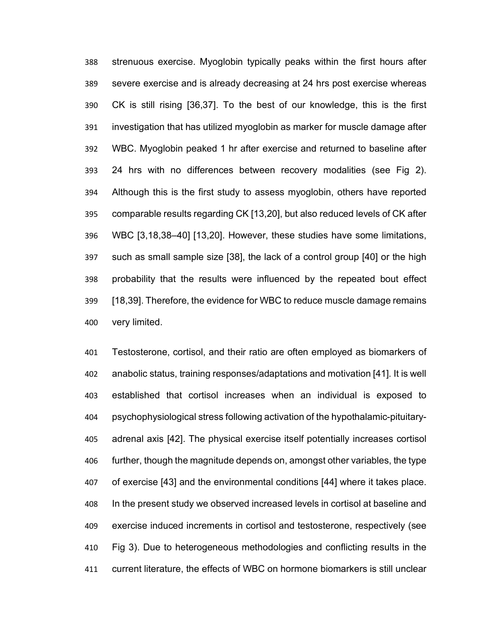strenuous exercise. Myoglobin typically peaks within the first hours after severe exercise and is already decreasing at 24 hrs post exercise whereas CK is still rising [36,37]. To the best of our knowledge, this is the first investigation that has utilized myoglobin as marker for muscle damage after WBC. Myoglobin peaked 1 hr after exercise and returned to baseline after 24 hrs with no differences between recovery modalities (see Fig 2). Although this is the first study to assess myoglobin, others have reported comparable results regarding CK [13,20], but also reduced levels of CK after WBC [3,18,38–40] [13,20]. However, these studies have some limitations, such as small sample size [38], the lack of a control group [40] or the high probability that the results were influenced by the repeated bout effect [18,39]. Therefore, the evidence for WBC to reduce muscle damage remains very limited.

 Testosterone, cortisol, and their ratio are often employed as biomarkers of anabolic status, training responses/adaptations and motivation [41]. It is well established that cortisol increases when an individual is exposed to psychophysiological stress following activation of the hypothalamic-pituitary- adrenal axis [42]. The physical exercise itself potentially increases cortisol further, though the magnitude depends on, amongst other variables, the type of exercise [43] and the environmental conditions [44] where it takes place. In the present study we observed increased levels in cortisol at baseline and exercise induced increments in cortisol and testosterone, respectively (see Fig 3). Due to heterogeneous methodologies and conflicting results in the current literature, the effects of WBC on hormone biomarkers is still unclear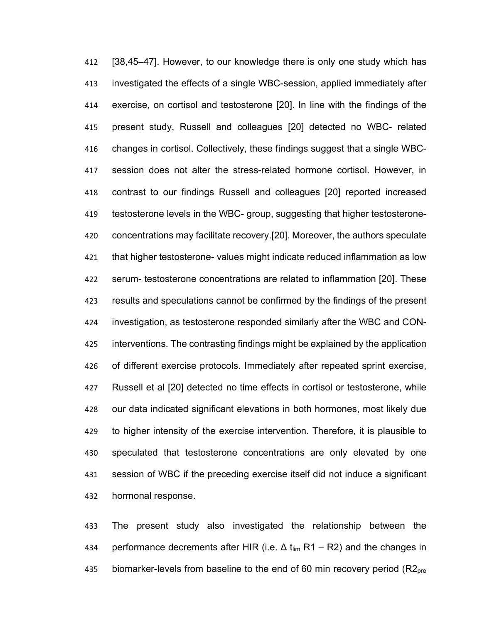[38,45–47]. However, to our knowledge there is only one study which has investigated the effects of a single WBC-session, applied immediately after exercise, on cortisol and testosterone [20]. In line with the findings of the present study, Russell and colleagues [20] detected no WBC- related changes in cortisol. Collectively, these findings suggest that a single WBC- session does not alter the stress-related hormone cortisol. However, in contrast to our findings Russell and colleagues [20] reported increased testosterone levels in the WBC- group, suggesting that higher testosterone- concentrations may facilitate recovery.[20]. Moreover, the authors speculate that higher testosterone- values might indicate reduced inflammation as low serum- testosterone concentrations are related to inflammation [20]. These results and speculations cannot be confirmed by the findings of the present investigation, as testosterone responded similarly after the WBC and CON- interventions. The contrasting findings might be explained by the application of different exercise protocols. Immediately after repeated sprint exercise, Russell et al [20] detected no time effects in cortisol or testosterone, while our data indicated significant elevations in both hormones, most likely due to higher intensity of the exercise intervention. Therefore, it is plausible to speculated that testosterone concentrations are only elevated by one session of WBC if the preceding exercise itself did not induce a significant hormonal response.

 The present study also investigated the relationship between the 434 performance decrements after HIR (i.e.  $\Delta t_{\text{lim}}$  R1 – R2) and the changes in 435 biomarker-levels from baseline to the end of 60 min recovery period  $(R2<sub>pre</sub>)$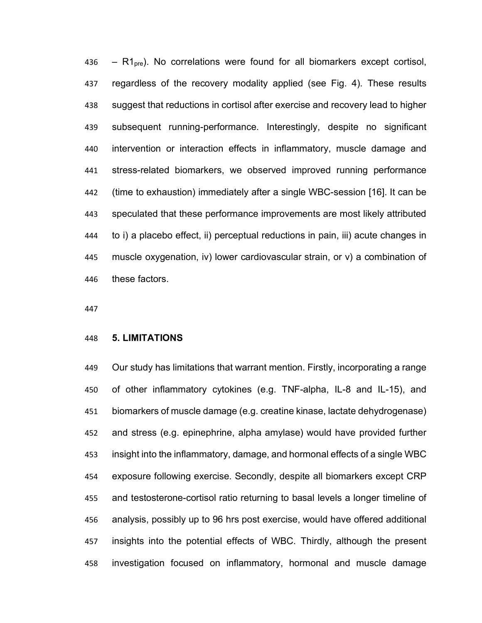436 –  $R1_{\text{pre}}$ ). No correlations were found for all biomarkers except cortisol, regardless of the recovery modality applied (see Fig. 4). These results suggest that reductions in cortisol after exercise and recovery lead to higher subsequent running-performance. Interestingly, despite no significant intervention or interaction effects in inflammatory, muscle damage and stress-related biomarkers, we observed improved running performance (time to exhaustion) immediately after a single WBC-session [16]. It can be speculated that these performance improvements are most likely attributed to i) a placebo effect, ii) perceptual reductions in pain, iii) acute changes in muscle oxygenation, iv) lower cardiovascular strain, or v) a combination of these factors.

## **5. LIMITATIONS**

 Our study has limitations that warrant mention. Firstly, incorporating a range of other inflammatory cytokines (e.g. TNF-alpha, IL-8 and IL-15), and biomarkers of muscle damage (e.g. creatine kinase, lactate dehydrogenase) and stress (e.g. epinephrine, alpha amylase) would have provided further insight into the inflammatory, damage, and hormonal effects of a single WBC exposure following exercise. Secondly, despite all biomarkers except CRP and testosterone-cortisol ratio returning to basal levels a longer timeline of analysis, possibly up to 96 hrs post exercise, would have offered additional insights into the potential effects of WBC. Thirdly, although the present investigation focused on inflammatory, hormonal and muscle damage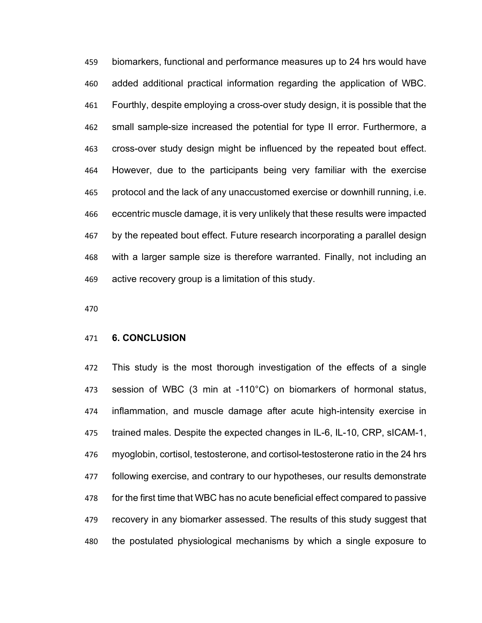biomarkers, functional and performance measures up to 24 hrs would have added additional practical information regarding the application of WBC. Fourthly, despite employing a cross-over study design, it is possible that the small sample-size increased the potential for type II error. Furthermore, a cross-over study design might be influenced by the repeated bout effect. However, due to the participants being very familiar with the exercise protocol and the lack of any unaccustomed exercise or downhill running, i.e. eccentric muscle damage, it is very unlikely that these results were impacted by the repeated bout effect. Future research incorporating a parallel design with a larger sample size is therefore warranted. Finally, not including an active recovery group is a limitation of this study.

## **6. CONCLUSION**

 This study is the most thorough investigation of the effects of a single session of WBC (3 min at -110°C) on biomarkers of hormonal status, inflammation, and muscle damage after acute high-intensity exercise in trained males. Despite the expected changes in IL-6, IL-10, CRP, sICAM-1, myoglobin, cortisol, testosterone, and cortisol-testosterone ratio in the 24 hrs following exercise, and contrary to our hypotheses, our results demonstrate for the first time that WBC has no acute beneficial effect compared to passive recovery in any biomarker assessed. The results of this study suggest that the postulated physiological mechanisms by which a single exposure to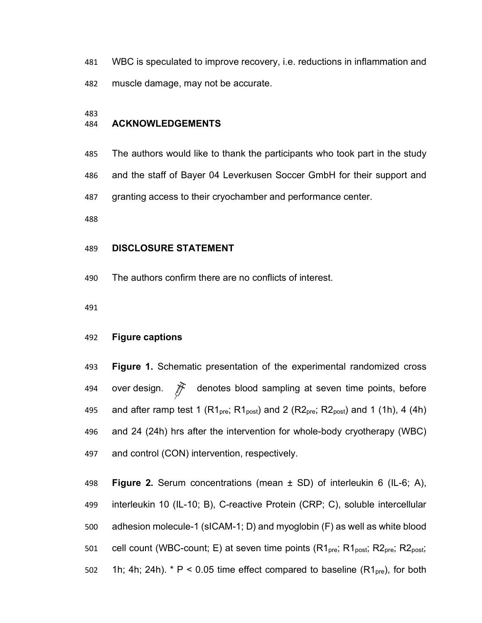WBC is speculated to improve recovery, i.e. reductions in inflammation and muscle damage, may not be accurate.

## **ACKNOWLEDGEMENTS**

The authors would like to thank the participants who took part in the study

and the staff of Bayer 04 Leverkusen Soccer GmbH for their support and

granting access to their cryochamber and performance center.

## **DISCLOSURE STATEMENT**

The authors confirm there are no conflicts of interest.

#### **Figure captions**

 **Figure 1.** Schematic presentation of the experimental randomized cross 494 over design.  $\mathcal{F}$  denotes blood sampling at seven time points, before 495 and after ramp test 1 ( $R1_{\text{pre}}$ ;  $R1_{\text{post}}$ ) and 2 ( $R2_{\text{pre}}$ ;  $R2_{\text{post}}$ ) and 1 (1h), 4 (4h) and 24 (24h) hrs after the intervention for whole-body cryotherapy (WBC) and control (CON) intervention, respectively.

 **Figure 2.** Serum concentrations (mean ± SD) of interleukin 6 (IL-6; A), interleukin 10 (IL-10; B), C-reactive Protein (CRP; C), soluble intercellular adhesion molecule-1 (sICAM-1; D) and myoglobin (F) as well as white blood 501 cell count (WBC-count; E) at seven time points  $(R1_{pre}; R1_{post}; R2_{pre}; R2_{post}; R2_{post}; R3_{post}; R4_{post}; R5_{post}; R6_{post}; R7_{post}; R8_{post}; R8_{post}; R9_{post}; R1_{post}; R1_{post}; R2_{post}; R1_{post}; R2_{post}; R3_{post}; R4_{post}; R6_{post}; R7_{post}; R8_{post}; R8_{post}; R9_{post}; R1_{post}; R1_{post}; R1_{post}; R2_{post}; R1_{post}; R3_{post}; R4_{post}; R6_{post}; R8_{post$ 502 1h; 4h; 24h). \* P < 0.05 time effect compared to baseline  $(R1<sub>pre</sub>)$ , for both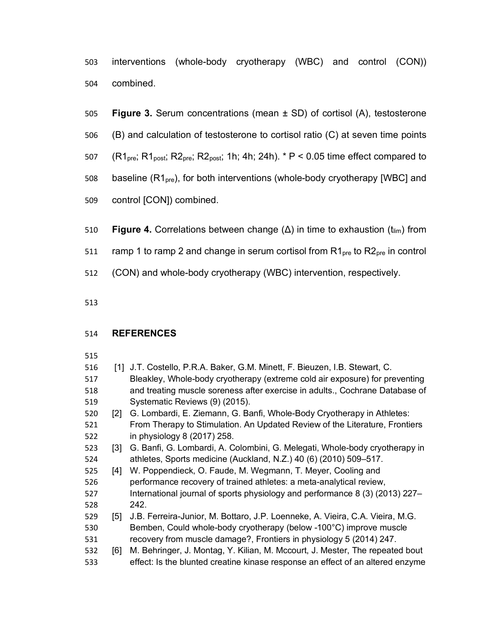interventions (whole-body cryotherapy (WBC) and control (CON)) combined.

- **Figure 3.** Serum concentrations (mean ± SD) of cortisol (A), testosterone
- (B) and calculation of testosterone to cortisol ratio (C) at seven time points
- 507 (R1<sub>pre</sub>; R1<sub>post</sub>; R2<sub>pre</sub>; R2<sub>post</sub>; 1h; 4h; 24h).  $*$  P < 0.05 time effect compared to
- baseline (R1pre), for both interventions (whole-body cryotherapy [WBC] and
- control [CON]) combined.
- 510 **Figure 4.** Correlations between change (Δ) in time to exhaustion (t<sub>lim</sub>) from
- 511 ramp 1 to ramp 2 and change in serum cortisol from  $R1_{pre}$  to  $R2_{pre}$  in control
- (CON) and whole-body cryotherapy (WBC) intervention, respectively.
- 

# **REFERENCES**

| 516 | [1]               | J.T. Costello, P.R.A. Baker, G.M. Minett, F. Bieuzen, I.B. Stewart, C.         |
|-----|-------------------|--------------------------------------------------------------------------------|
| 517 |                   | Bleakley, Whole-body cryotherapy (extreme cold air exposure) for preventing    |
| 518 |                   | and treating muscle soreness after exercise in adults., Cochrane Database of   |
| 519 |                   | Systematic Reviews (9) (2015).                                                 |
| 520 | $\lceil 2 \rceil$ | G. Lombardi, E. Ziemann, G. Banfi, Whole-Body Cryotherapy in Athletes:         |
| 521 |                   | From Therapy to Stimulation. An Updated Review of the Literature, Frontiers    |
| 522 |                   | in physiology 8 (2017) 258.                                                    |
| 523 | [3]               | G. Banfi, G. Lombardi, A. Colombini, G. Melegati, Whole-body cryotherapy in    |
| 524 |                   | athletes, Sports medicine (Auckland, N.Z.) 40 (6) (2010) 509-517.              |
| 525 | [4]               | W. Poppendieck, O. Faude, M. Wegmann, T. Meyer, Cooling and                    |
| 526 |                   | performance recovery of trained athletes: a meta-analytical review,            |
| 527 |                   | International journal of sports physiology and performance 8 (3) (2013) 227–   |
| 528 |                   | 242.                                                                           |
| 529 | [5]               | J.B. Ferreira-Junior, M. Bottaro, J.P. Loenneke, A. Vieira, C.A. Vieira, M.G.  |
| 530 |                   | Bemben, Could whole-body cryotherapy (below -100°C) improve muscle             |
| 531 |                   | recovery from muscle damage?, Frontiers in physiology 5 (2014) 247.            |
| 532 | [6]               | M. Behringer, J. Montag, Y. Kilian, M. Mccourt, J. Mester, The repeated bout   |
| 533 |                   | effect: Is the blunted creatine kinase response an effect of an altered enzyme |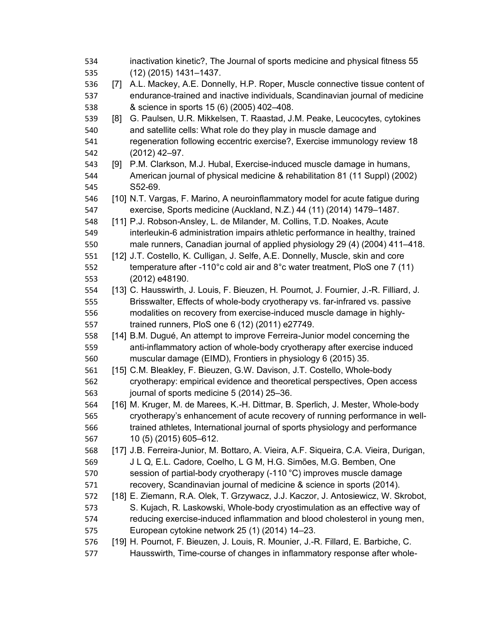| 534 |                   | inactivation kinetic?, The Journal of sports medicine and physical fitness 55          |
|-----|-------------------|----------------------------------------------------------------------------------------|
| 535 |                   | $(12)$ (2015) 1431-1437.                                                               |
| 536 | $\left[ 7\right]$ | A.L. Mackey, A.E. Donnelly, H.P. Roper, Muscle connective tissue content of            |
| 537 |                   | endurance-trained and inactive individuals, Scandinavian journal of medicine           |
| 538 |                   | & science in sports 15 (6) (2005) 402-408.                                             |
| 539 | [8]               | G. Paulsen, U.R. Mikkelsen, T. Raastad, J.M. Peake, Leucocytes, cytokines              |
| 540 |                   | and satellite cells: What role do they play in muscle damage and                       |
| 541 |                   | regeneration following eccentric exercise?, Exercise immunology review 18              |
| 542 |                   | $(2012)$ 42-97.                                                                        |
| 543 | [9]               | P.M. Clarkson, M.J. Hubal, Exercise-induced muscle damage in humans,                   |
| 544 |                   | American journal of physical medicine & rehabilitation 81 (11 Suppl) (2002)            |
| 545 |                   | S52-69.                                                                                |
| 546 |                   | [10] N.T. Vargas, F. Marino, A neuroinflammatory model for acute fatigue during        |
| 547 |                   | exercise, Sports medicine (Auckland, N.Z.) 44 (11) (2014) 1479-1487.                   |
| 548 |                   | [11] P.J. Robson-Ansley, L. de Milander, M. Collins, T.D. Noakes, Acute                |
| 549 |                   | interleukin-6 administration impairs athletic performance in healthy, trained          |
| 550 |                   | male runners, Canadian journal of applied physiology 29 (4) (2004) 411–418.            |
| 551 |                   | [12] J.T. Costello, K. Culligan, J. Selfe, A.E. Donnelly, Muscle, skin and core        |
| 552 |                   | temperature after -110°c cold air and 8°c water treatment, PloS one 7 (11)             |
| 553 |                   | (2012) e48190.                                                                         |
| 554 |                   | [13] C. Hausswirth, J. Louis, F. Bieuzen, H. Pournot, J. Fournier, J.-R. Filliard, J.  |
| 555 |                   | Brisswalter, Effects of whole-body cryotherapy vs. far-infrared vs. passive            |
| 556 |                   | modalities on recovery from exercise-induced muscle damage in highly-                  |
| 557 |                   | trained runners, PloS one 6 (12) (2011) e27749.                                        |
| 558 |                   | [14] B.M. Dugué, An attempt to improve Ferreira-Junior model concerning the            |
| 559 |                   | anti-inflammatory action of whole-body cryotherapy after exercise induced              |
| 560 |                   | muscular damage (EIMD), Frontiers in physiology 6 (2015) 35.                           |
| 561 |                   | [15] C.M. Bleakley, F. Bieuzen, G.W. Davison, J.T. Costello, Whole-body                |
| 562 |                   | cryotherapy: empirical evidence and theoretical perspectives, Open access              |
| 563 |                   | journal of sports medicine 5 (2014) 25-36.                                             |
| 564 |                   | [16] M. Kruger, M. de Marees, K.-H. Dittmar, B. Sperlich, J. Mester, Whole-body        |
| 565 |                   | cryotherapy's enhancement of acute recovery of running performance in well-            |
| 566 |                   | trained athletes, International journal of sports physiology and performance           |
| 567 |                   | 10 (5) (2015) 605-612.                                                                 |
| 568 |                   | [17] J.B. Ferreira-Junior, M. Bottaro, A. Vieira, A.F. Siqueira, C.A. Vieira, Durigan, |
| 569 |                   | J L Q, E.L. Cadore, Coelho, L G M, H.G. Simões, M.G. Bemben, One                       |
| 570 |                   | session of partial-body cryotherapy (-110 °C) improves muscle damage                   |
| 571 |                   | recovery, Scandinavian journal of medicine & science in sports (2014).                 |
| 572 |                   | [18] E. Ziemann, R.A. Olek, T. Grzywacz, J.J. Kaczor, J. Antosiewicz, W. Skrobot,      |
| 573 |                   | S. Kujach, R. Laskowski, Whole-body cryostimulation as an effective way of             |
| 574 |                   | reducing exercise-induced inflammation and blood cholesterol in young men,             |
| 575 |                   | European cytokine network 25 (1) (2014) 14-23.                                         |
| 576 |                   | [19] H. Pournot, F. Bieuzen, J. Louis, R. Mounier, J.-R. Fillard, E. Barbiche, C.      |
| 577 |                   | Hausswirth, Time-course of changes in inflammatory response after whole-               |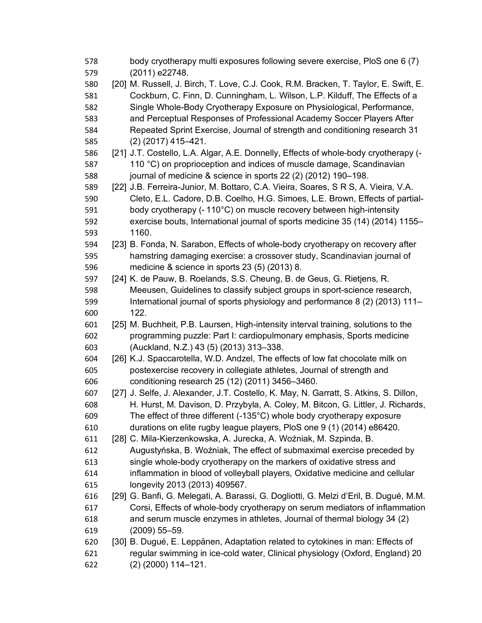| 578 |      | body cryotherapy multi exposures following severe exercise, PloS one 6 (7)            |
|-----|------|---------------------------------------------------------------------------------------|
| 579 |      | (2011) e22748.                                                                        |
| 580 |      | [20] M. Russell, J. Birch, T. Love, C.J. Cook, R.M. Bracken, T. Taylor, E. Swift, E.  |
| 581 |      | Cockburn, C. Finn, D. Cunningham, L. Wilson, L.P. Kilduff, The Effects of a           |
| 582 |      | Single Whole-Body Cryotherapy Exposure on Physiological, Performance,                 |
| 583 |      | and Perceptual Responses of Professional Academy Soccer Players After                 |
| 584 |      | Repeated Sprint Exercise, Journal of strength and conditioning research 31            |
| 585 |      | $(2)$ (2017) 415-421.                                                                 |
| 586 |      | [21] J.T. Costello, L.A. Algar, A.E. Donnelly, Effects of whole-body cryotherapy (-   |
| 587 |      | 110 °C) on proprioception and indices of muscle damage, Scandinavian                  |
| 588 |      | journal of medicine & science in sports 22 (2) (2012) 190-198.                        |
| 589 |      | [22] J.B. Ferreira-Junior, M. Bottaro, C.A. Vieira, Soares, S R S, A. Vieira, V.A.    |
| 590 |      | Cleto, E.L. Cadore, D.B. Coelho, H.G. Simoes, L.E. Brown, Effects of partial-         |
| 591 |      | body cryotherapy (-110°C) on muscle recovery between high-intensity                   |
| 592 |      | exercise bouts, International journal of sports medicine 35 (14) (2014) 1155-         |
| 593 |      | 1160.                                                                                 |
| 594 |      | [23] B. Fonda, N. Sarabon, Effects of whole-body cryotherapy on recovery after        |
| 595 |      | hamstring damaging exercise: a crossover study, Scandinavian journal of               |
| 596 |      | medicine & science in sports 23 (5) (2013) 8.                                         |
| 597 |      | [24] K. de Pauw, B. Roelands, S.S. Cheung, B. de Geus, G. Rietjens, R.                |
| 598 |      | Meeusen, Guidelines to classify subject groups in sport-science research,             |
| 599 |      | International journal of sports physiology and performance 8 (2) (2013) 111–          |
| 600 |      | 122.                                                                                  |
| 601 |      | [25] M. Buchheit, P.B. Laursen, High-intensity interval training, solutions to the    |
| 602 |      | programming puzzle: Part I: cardiopulmonary emphasis, Sports medicine                 |
| 603 |      | (Auckland, N.Z.) 43 (5) (2013) 313-338.                                               |
| 604 |      | [26] K.J. Spaccarotella, W.D. Andzel, The effects of low fat chocolate milk on        |
| 605 |      | postexercise recovery in collegiate athletes, Journal of strength and                 |
| 606 |      | conditioning research 25 (12) (2011) 3456-3460.                                       |
| 607 | [27] | J. Selfe, J. Alexander, J.T. Costello, K. May, N. Garratt, S. Atkins, S. Dillon,      |
| 608 |      | H. Hurst, M. Davison, D. Przybyla, A. Coley, M. Bitcon, G. Littler, J. Richards,      |
| 609 |      | The effect of three different $(-135^{\circ}C)$ whole body cryotherapy exposure       |
| 610 |      | durations on elite rugby league players, PloS one 9 (1) (2014) e86420.                |
| 611 |      | [28] C. Mila-Kierzenkowska, A. Jurecka, A. Woźniak, M. Szpinda, B.                    |
| 612 |      | Augustyńska, B. Woźniak, The effect of submaximal exercise preceded by                |
| 613 |      | single whole-body cryotherapy on the markers of oxidative stress and                  |
| 614 |      | inflammation in blood of volleyball players, Oxidative medicine and cellular          |
| 615 |      | longevity 2013 (2013) 409567.                                                         |
| 616 |      | [29] G. Banfi, G. Melegati, A. Barassi, G. Dogliotti, G. Melzi d'Eril, B. Dugué, M.M. |
| 617 |      | Corsi, Effects of whole-body cryotherapy on serum mediators of inflammation           |
| 618 |      | and serum muscle enzymes in athletes, Journal of thermal biology 34 (2)               |
| 619 |      | $(2009) 55 - 59.$                                                                     |
| 620 |      | [30] B. Dugué, E. Leppänen, Adaptation related to cytokines in man: Effects of        |
| 621 |      | regular swimming in ice-cold water, Clinical physiology (Oxford, England) 20          |
| 622 |      | $(2)$ (2000) 114-121.                                                                 |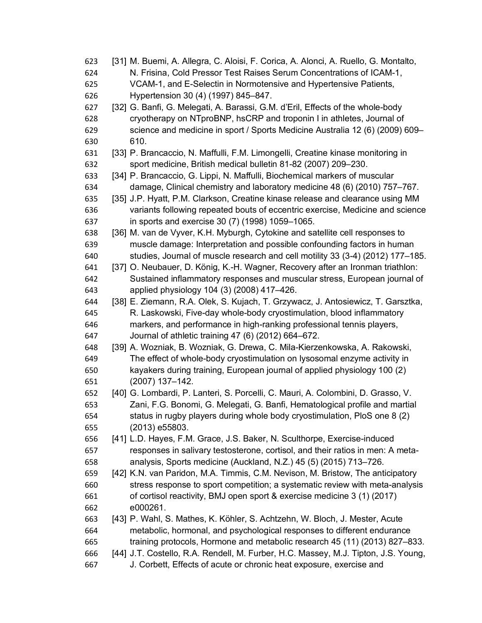| 623 | [31] M. Buemi, A. Allegra, C. Aloisi, F. Corica, A. Alonci, A. Ruello, G. Montalto, |
|-----|-------------------------------------------------------------------------------------|
| 624 | N. Frisina, Cold Pressor Test Raises Serum Concentrations of ICAM-1,                |
| 625 | VCAM-1, and E-Selectin in Normotensive and Hypertensive Patients,                   |
| 626 | Hypertension 30 (4) (1997) 845-847.                                                 |
| 627 | [32] G. Banfi, G. Melegati, A. Barassi, G.M. d'Eril, Effects of the whole-body      |
| 628 | cryotherapy on NTproBNP, hsCRP and troponin I in athletes, Journal of               |
| 629 | science and medicine in sport / Sports Medicine Australia 12 (6) (2009) 609-        |
| 630 | 610.                                                                                |
| 631 | [33] P. Brancaccio, N. Maffulli, F.M. Limongelli, Creatine kinase monitoring in     |
| 632 | sport medicine, British medical bulletin 81-82 (2007) 209-230.                      |
| 633 | [34] P. Brancaccio, G. Lippi, N. Maffulli, Biochemical markers of muscular          |
| 634 | damage, Clinical chemistry and laboratory medicine 48 (6) (2010) 757-767.           |
| 635 | [35] J.P. Hyatt, P.M. Clarkson, Creatine kinase release and clearance using MM      |
| 636 | variants following repeated bouts of eccentric exercise, Medicine and science       |
| 637 | in sports and exercise 30 (7) (1998) 1059-1065.                                     |
| 638 | [36] M. van de Vyver, K.H. Myburgh, Cytokine and satellite cell responses to        |
| 639 | muscle damage: Interpretation and possible confounding factors in human             |
| 640 | studies, Journal of muscle research and cell motility 33 (3-4) (2012) 177–185.      |
| 641 | [37] O. Neubauer, D. König, K.-H. Wagner, Recovery after an Ironman triathlon:      |
| 642 | Sustained inflammatory responses and muscular stress, European journal of           |
| 643 | applied physiology 104 (3) (2008) 417-426.                                          |
| 644 | [38] E. Ziemann, R.A. Olek, S. Kujach, T. Grzywacz, J. Antosiewicz, T. Garsztka,    |
| 645 | R. Laskowski, Five-day whole-body cryostimulation, blood inflammatory               |
| 646 | markers, and performance in high-ranking professional tennis players,               |
| 647 | Journal of athletic training 47 (6) (2012) 664-672.                                 |
| 648 | [39] A. Wozniak, B. Wozniak, G. Drewa, C. Mila-Kierzenkowska, A. Rakowski,          |
| 649 | The effect of whole-body cryostimulation on lysosomal enzyme activity in            |
| 650 | kayakers during training, European journal of applied physiology 100 (2)            |
| 651 | (2007) 137-142.                                                                     |
| 652 | [40] G. Lombardi, P. Lanteri, S. Porcelli, C. Mauri, A. Colombini, D. Grasso, V.    |
| 653 | Zani, F.G. Bonomi, G. Melegati, G. Banfi, Hematological profile and martial         |
| 654 | status in rugby players during whole body cryostimulation, PloS one 8 (2)           |
| 655 | (2013) e55803.                                                                      |
| 656 | [41] L.D. Hayes, F.M. Grace, J.S. Baker, N. Sculthorpe, Exercise-induced            |
| 657 | responses in salivary testosterone, cortisol, and their ratios in men: A meta-      |
| 658 | analysis, Sports medicine (Auckland, N.Z.) 45 (5) (2015) 713-726.                   |
| 659 | [42] K.N. van Paridon, M.A. Timmis, C.M. Nevison, M. Bristow, The anticipatory      |
| 660 | stress response to sport competition; a systematic review with meta-analysis        |
| 661 | of cortisol reactivity, BMJ open sport & exercise medicine 3 (1) (2017)             |
| 662 | e000261.                                                                            |
| 663 | [43] P. Wahl, S. Mathes, K. Köhler, S. Achtzehn, W. Bloch, J. Mester, Acute         |
| 664 | metabolic, hormonal, and psychological responses to different endurance             |
| 665 | training protocols, Hormone and metabolic research 45 (11) (2013) 827–833.          |
| 666 | [44] J.T. Costello, R.A. Rendell, M. Furber, H.C. Massey, M.J. Tipton, J.S. Young,  |
| 667 | J. Corbett, Effects of acute or chronic heat exposure, exercise and                 |